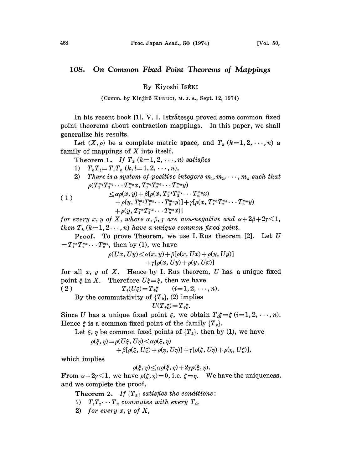## 108. On Common Fixed Point Theorems of Mappings

By Kiyoshi ISÉKI

(Comm. by Kinjir8 KUNUGI, M..I.A., Sept. 12, 1974)

In his recent book [1], V. I. Istrătescu proved some common fixed point theorems about contraction mappings. In this paper, we shall generalize his results.

Let  $(X, \rho)$  be a complete metric space, and  $T_k$  ( $k=1,2,\dots,n$ ) a family of mappings of  $X$  into itself.

Theorem 1. If  $T_k$   $(k=1, 2, \dots, n)$  satisfies

1)  $T_k T_l = T_l T_k$   $(k, l = 1, 2, \dots, n),$ 

2) There is a system of positive integers  $m_1, m_2, \cdots, m_n$  such that  $\rho(T_1^{m_1}T_2^{m_2}\cdots T_n^{m_n}x, T_1^{m_1}T_2^{m_2}\cdots T_n^{m_n}y)$ 

(1) 
$$
\leq \alpha \rho(x, y) + \beta [\rho(x, T_1^{m_1} T_2^{m_2} \cdots T_n^{m_n} x) + \rho(y, T_1^{m_1} T_2^{m_2} \cdots T_n^{m_n} y)] + \gamma [\rho(x, T_1^{m_1} T_2^{m_2} \cdots T_n^{m_n} y) + \rho(y, T_1^{m_1} T_2^{m_2} \cdots T_n^{m_n} x)]
$$

for every x, y of X, where  $\alpha$ ,  $\beta$ ,  $\gamma$  are non-negative and  $\alpha + 2\beta + 2\gamma < 1$ , then  $T_k$  (k=1, 2..., n) have a unique common fixed point.

**Proof.** To prove Theorem, we use I. Rus theorem  $[2]$ . Let U  $=T_1^{m_1}T_2^{m_2}\cdots T_n^{m_n}$ , then by (1), we have

> $\rho(Ux, Uy) \leq \alpha(x, y) + \beta[\rho(x, Ux) + \rho(y, Uy)]$  $+ \gamma [\rho(x, Uy) + \rho(y, Ux)]$

for all  $x, y$  of  $X$ . Hence by I. Rus theorem, U has a unique fixed point  $\xi$  in X. Therefore  $U\xi = \xi$ , then we have

( 2 )  $T_i(U\xi) = T_i \xi$   $(i=1, 2, \dots, n).$ 

By the commutativity of  $\{T_k\}$ , (2) implies

$$
U(T_i\xi)\!=\!T_i\xi.
$$

Since U has a unique fixed point  $\xi$ , we obtain  $T_i \xi = \xi$   $(i=1, 2, \dots, n)$ . Hence  $\xi$  is a common fixed point of the family  $\{T_k\}$ .

Let  $\xi$ ,  $\eta$  be common fixed points of  $\{T_k\}$ , then by (1), we have

$$
\rho(\xi,\eta) = \rho(U\xi, U\eta) \leq \alpha \rho(\xi,\eta) + \beta[\rho(\xi, U\xi) + \rho(\eta, U\eta)] + \gamma[\rho(\xi, U\eta) + \rho(\eta, U\xi)],
$$

whieh implies

 $\rho(\xi, \eta) \leq \alpha \rho(\xi, \eta) + 2\gamma \rho(\xi, \eta).$ 

From  $\alpha + 2\gamma < 1$ , we have  $\rho(\xi, \eta) = 0$ , i.e.  $\xi = \eta$ . We have the uniqueness, and we complete the proof.

Theorem 2. If  $\{T_k\}$  satisfies the conditions:

- 1)  $T_1T_2\cdots T_n$  commutes with every  $T_i$ ,
- 2) for every  $x, y$  of  $X$ ,